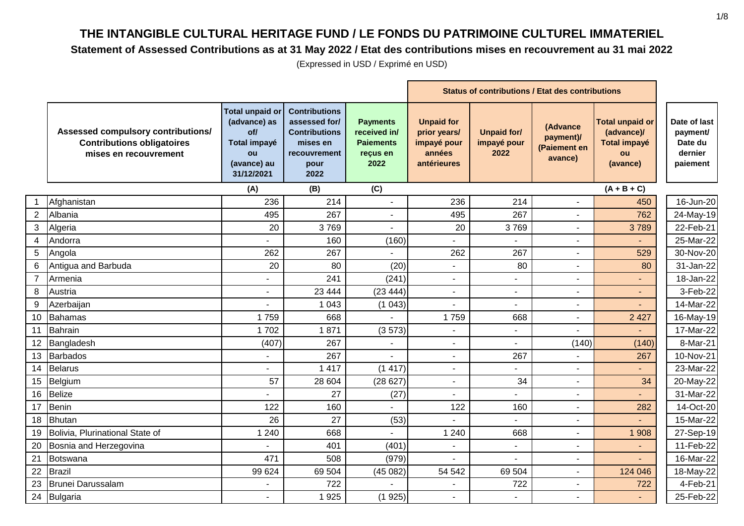#### **Statement of Assessed Contributions as at 31 May 2022 / Etat des contributions mises en recouvrement au 31 mai 2022**

|                 |                                                                                                  |                                                                                                  | <b>Status of contributions / Etat des contributions</b>                                                   |                                                                         |                                                                           |                                           |                                                  |                                                                               |                                                            |
|-----------------|--------------------------------------------------------------------------------------------------|--------------------------------------------------------------------------------------------------|-----------------------------------------------------------------------------------------------------------|-------------------------------------------------------------------------|---------------------------------------------------------------------------|-------------------------------------------|--------------------------------------------------|-------------------------------------------------------------------------------|------------------------------------------------------------|
|                 | Assessed compulsory contributions/<br><b>Contributions obligatoires</b><br>mises en recouvrement | <b>Total unpaid or</b><br>(advance) as<br>of/<br>Total impayé<br>ou<br>(avance) au<br>31/12/2021 | <b>Contributions</b><br>assessed for/<br><b>Contributions</b><br>mises en<br>recouvrement<br>pour<br>2022 | <b>Payments</b><br>received in/<br><b>Paiements</b><br>reçus en<br>2022 | <b>Unpaid for</b><br>prior years/<br>impayé pour<br>années<br>antérieures | <b>Unpaid for/</b><br>impayé pour<br>2022 | (Advance<br>payment)/<br>(Paiement en<br>avance) | <b>Total unpaid or</b><br>(advance)/<br><b>Total impayé</b><br>ou<br>(avance) | Date of last<br>payment/<br>Date du<br>dernier<br>paiement |
|                 |                                                                                                  | (A)                                                                                              | (B)                                                                                                       | (C)                                                                     |                                                                           |                                           |                                                  | $(A + B + C)$                                                                 |                                                            |
|                 | Afghanistan                                                                                      | 236                                                                                              | 214                                                                                                       |                                                                         | 236                                                                       | 214                                       |                                                  | 450                                                                           | 16-Jun-20                                                  |
| $\overline{2}$  | Albania                                                                                          | 495                                                                                              | 267                                                                                                       | $\overline{\phantom{a}}$                                                | 495                                                                       | 267                                       | $\overline{\phantom{a}}$                         | 762                                                                           | 24-May-19                                                  |
|                 | 3 Algeria                                                                                        | 20                                                                                               | 3769                                                                                                      |                                                                         | 20                                                                        | 3769                                      |                                                  | 3789                                                                          | 22-Feb-21                                                  |
| 4               | Andorra                                                                                          |                                                                                                  | 160                                                                                                       | (160)                                                                   |                                                                           |                                           |                                                  |                                                                               | 25-Mar-22                                                  |
| 5               | Angola                                                                                           | 262                                                                                              | 267                                                                                                       |                                                                         | 262                                                                       | 267                                       |                                                  | 529                                                                           | 30-Nov-20                                                  |
| 6               | Antigua and Barbuda                                                                              | 20                                                                                               | 80                                                                                                        | (20)                                                                    | ä,                                                                        | 80                                        |                                                  | 80                                                                            | 31-Jan-22                                                  |
| $\overline{7}$  | Armenia                                                                                          |                                                                                                  | 241                                                                                                       | (241)                                                                   |                                                                           |                                           |                                                  |                                                                               | 18-Jan-22                                                  |
| 8               | Austria                                                                                          | ٠                                                                                                | 23 4 44                                                                                                   | (23444)                                                                 |                                                                           |                                           |                                                  |                                                                               | 3-Feb-22                                                   |
| 9               | Azerbaijan                                                                                       | ÷,                                                                                               | 1 0 4 3                                                                                                   | (1043)                                                                  |                                                                           | $\sim$                                    |                                                  |                                                                               | 14-Mar-22                                                  |
| 10 <sup>1</sup> | Bahamas                                                                                          | 1759                                                                                             | 668                                                                                                       |                                                                         | 1759                                                                      | 668                                       |                                                  | 2 4 2 7                                                                       | 16-May-19                                                  |
|                 | 11 Bahrain                                                                                       | 1702                                                                                             | 1871                                                                                                      | (3573)                                                                  | $\blacksquare$                                                            |                                           |                                                  |                                                                               | 17-Mar-22                                                  |
|                 | 12 Bangladesh                                                                                    | (407)                                                                                            | 267                                                                                                       |                                                                         | $\blacksquare$                                                            |                                           | (140)                                            | (140)                                                                         | 8-Mar-21                                                   |
|                 | 13 Barbados                                                                                      | ÷,                                                                                               | 267                                                                                                       |                                                                         | $\blacksquare$                                                            | 267                                       |                                                  | 267                                                                           | 10-Nov-21                                                  |
|                 | 14 Belarus                                                                                       |                                                                                                  | 1 4 1 7                                                                                                   | (1417)                                                                  | $\blacksquare$                                                            |                                           |                                                  |                                                                               | 23-Mar-22                                                  |
|                 | 15 Belgium                                                                                       | 57                                                                                               | 28 604                                                                                                    | (28627)                                                                 | $\blacksquare$                                                            | 34                                        |                                                  | 34                                                                            | 20-May-22                                                  |
| 16              | Belize                                                                                           |                                                                                                  | 27                                                                                                        | (27)                                                                    |                                                                           |                                           |                                                  |                                                                               | 31-Mar-22                                                  |
| 17              | Benin                                                                                            | 122                                                                                              | 160                                                                                                       |                                                                         | 122                                                                       | 160                                       |                                                  | 282                                                                           | 14-Oct-20                                                  |
| 18              | Bhutan                                                                                           | 26                                                                                               | 27                                                                                                        | (53)                                                                    |                                                                           |                                           |                                                  |                                                                               | 15-Mar-22                                                  |
| 19              | Bolivia, Plurinational State of                                                                  | 1 2 4 0                                                                                          | 668                                                                                                       |                                                                         | 1 2 4 0                                                                   | 668                                       |                                                  | 1 908                                                                         | 27-Sep-19                                                  |
| 20              | Bosnia and Herzegovina                                                                           |                                                                                                  | 401                                                                                                       | (401)                                                                   | ä,                                                                        | $\blacksquare$                            |                                                  |                                                                               | 11-Feb-22                                                  |
| 21              | Botswana                                                                                         | 471                                                                                              | 508                                                                                                       | (979)                                                                   |                                                                           |                                           |                                                  |                                                                               | 16-Mar-22                                                  |
| 22              | Brazil                                                                                           | 99 624                                                                                           | 69 504                                                                                                    | (45082)                                                                 | 54 542                                                                    | 69 504                                    |                                                  | 124 046                                                                       | 18-May-22                                                  |
| 23              | Brunei Darussalam                                                                                |                                                                                                  | 722                                                                                                       |                                                                         |                                                                           | 722                                       |                                                  | 722                                                                           | 4-Feb-21                                                   |
|                 | 24 Bulgaria                                                                                      | ٠                                                                                                | 1925                                                                                                      | (1925)                                                                  | $\overline{a}$                                                            |                                           |                                                  |                                                                               | 25-Feb-22                                                  |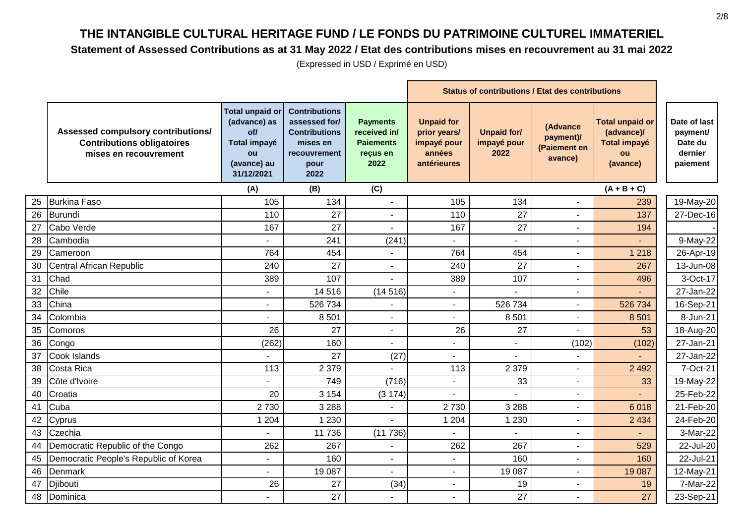#### **Statement of Assessed Contributions as at 31 May 2022 / Etat des contributions mises en recouvrement au 31 mai 2022**

|    |                                                                                                  |                                                                                                  | <b>Status of contributions / Etat des contributions</b>                                                   |                                                                         |                                                                           |                                           |                                                  |                                                                               |                                                            |
|----|--------------------------------------------------------------------------------------------------|--------------------------------------------------------------------------------------------------|-----------------------------------------------------------------------------------------------------------|-------------------------------------------------------------------------|---------------------------------------------------------------------------|-------------------------------------------|--------------------------------------------------|-------------------------------------------------------------------------------|------------------------------------------------------------|
|    | Assessed compulsory contributions/<br><b>Contributions obligatoires</b><br>mises en recouvrement | <b>Total unpaid or</b><br>(advance) as<br>of/<br>Total impayé<br>ou<br>(avance) au<br>31/12/2021 | <b>Contributions</b><br>assessed for/<br><b>Contributions</b><br>mises en<br>recouvrement<br>pour<br>2022 | <b>Payments</b><br>received in/<br><b>Paiements</b><br>reçus en<br>2022 | <b>Unpaid for</b><br>prior years/<br>impayé pour<br>années<br>antérieures | <b>Unpaid for/</b><br>impayé pour<br>2022 | (Advance<br>payment)/<br>(Paiement en<br>avance) | <b>Total unpaid or</b><br>(advance)/<br><b>Total impayé</b><br>ou<br>(avance) | Date of last<br>payment/<br>Date du<br>dernier<br>paiement |
|    |                                                                                                  | (A)                                                                                              | (B)                                                                                                       | (C)                                                                     |                                                                           |                                           |                                                  | $(A + B + C)$                                                                 |                                                            |
| 25 | <b>Burkina Faso</b>                                                                              | 105                                                                                              | 134                                                                                                       |                                                                         | 105                                                                       | 134                                       |                                                  | 239                                                                           | 19-May-20                                                  |
| 26 | Burundi                                                                                          | 110                                                                                              | 27                                                                                                        | $\blacksquare$                                                          | 110                                                                       | 27                                        | $\overline{\phantom{a}}$                         | 137                                                                           | 27-Dec-16                                                  |
| 27 | Cabo Verde                                                                                       | 167                                                                                              | 27                                                                                                        | $\overline{a}$                                                          | 167                                                                       | 27                                        | ÷,                                               | 194                                                                           |                                                            |
| 28 | Cambodia                                                                                         |                                                                                                  | 241                                                                                                       | (241)                                                                   |                                                                           |                                           | $\blacksquare$                                   |                                                                               | 9-May-22                                                   |
| 29 | Cameroon                                                                                         | 764                                                                                              | 454                                                                                                       |                                                                         | 764                                                                       | 454                                       | $\overline{\phantom{a}}$                         | 1 2 1 8                                                                       | 26-Apr-19                                                  |
| 30 | Central African Republic                                                                         | 240                                                                                              | 27                                                                                                        |                                                                         | 240                                                                       | 27                                        |                                                  | 267                                                                           | 13-Jun-08                                                  |
| 31 | Chad                                                                                             | 389                                                                                              | 107                                                                                                       |                                                                         | 389                                                                       | 107                                       |                                                  | 496                                                                           | 3-Oct-17                                                   |
| 32 | Chile                                                                                            |                                                                                                  | 14 516                                                                                                    | (14516)                                                                 |                                                                           |                                           |                                                  |                                                                               | 27-Jan-22                                                  |
| 33 | China                                                                                            | $\overline{\phantom{0}}$                                                                         | 526 734                                                                                                   |                                                                         | $\blacksquare$                                                            | 526 734                                   | $\blacksquare$                                   | 526 734                                                                       | 16-Sep-21                                                  |
| 34 | Colombia                                                                                         |                                                                                                  | 8 5 0 1                                                                                                   |                                                                         |                                                                           | 8501                                      |                                                  | 8 5 0 1                                                                       | 8-Jun-21                                                   |
| 35 | Comoros                                                                                          | 26                                                                                               | 27                                                                                                        | $\sim$                                                                  | 26                                                                        | 27                                        |                                                  | 53                                                                            | 18-Aug-20                                                  |
| 36 | Congo                                                                                            | (262)                                                                                            | 160                                                                                                       |                                                                         |                                                                           |                                           | (102)                                            | (102)                                                                         | 27-Jan-21                                                  |
| 37 | Cook Islands                                                                                     | $\overline{a}$                                                                                   | 27                                                                                                        | (27)                                                                    | $\sim$                                                                    | $\sim$                                    |                                                  |                                                                               | 27-Jan-22                                                  |
| 38 | Costa Rica                                                                                       | 113                                                                                              | 2 3 7 9                                                                                                   |                                                                         | 113                                                                       | 2 3 7 9                                   |                                                  | 2 4 9 2                                                                       | 7-Oct-21                                                   |
| 39 | Côte d'Ivoire                                                                                    |                                                                                                  | 749                                                                                                       | (716)                                                                   |                                                                           | 33                                        |                                                  | 33                                                                            | 19-May-22                                                  |
| 40 | Croatia                                                                                          | 20                                                                                               | 3 1 5 4                                                                                                   | (3174)                                                                  |                                                                           |                                           |                                                  |                                                                               | 25-Feb-22                                                  |
| 41 | Cuba                                                                                             | 2730                                                                                             | 3 2 8 8                                                                                                   |                                                                         | 2730                                                                      | 3 2 8 8                                   |                                                  | 6018                                                                          | 21-Feb-20                                                  |
| 42 | Cyprus                                                                                           | 1 2 0 4                                                                                          | 1 2 3 0                                                                                                   |                                                                         | 1 2 0 4                                                                   | 1 2 3 0                                   | $\blacksquare$                                   | 2 4 3 4                                                                       | 24-Feb-20                                                  |
| 43 | Czechia                                                                                          |                                                                                                  | 11 736                                                                                                    | (11736)                                                                 |                                                                           |                                           |                                                  |                                                                               | 3-Mar-22                                                   |
| 44 | Democratic Republic of the Congo                                                                 | 262                                                                                              | 267                                                                                                       |                                                                         | 262                                                                       | 267                                       | $\blacksquare$                                   | 529                                                                           | 22-Jul-20                                                  |
| 45 | Democratic People's Republic of Korea                                                            | $\overline{a}$                                                                                   | 160                                                                                                       | $\overline{a}$                                                          |                                                                           | 160                                       |                                                  | 160                                                                           | 22-Jul-21                                                  |
| 46 | Denmark                                                                                          |                                                                                                  | 19 087                                                                                                    |                                                                         |                                                                           | 19 087                                    | ÷,                                               | 19 087                                                                        | 12-May-21                                                  |
| 47 | Djibouti                                                                                         | 26                                                                                               | 27                                                                                                        | (34)                                                                    |                                                                           | 19                                        |                                                  | 19                                                                            | 7-Mar-22                                                   |
|    | 48 Dominica                                                                                      |                                                                                                  | 27                                                                                                        |                                                                         |                                                                           | 27                                        | ÷                                                | 27                                                                            | 23-Sep-21                                                  |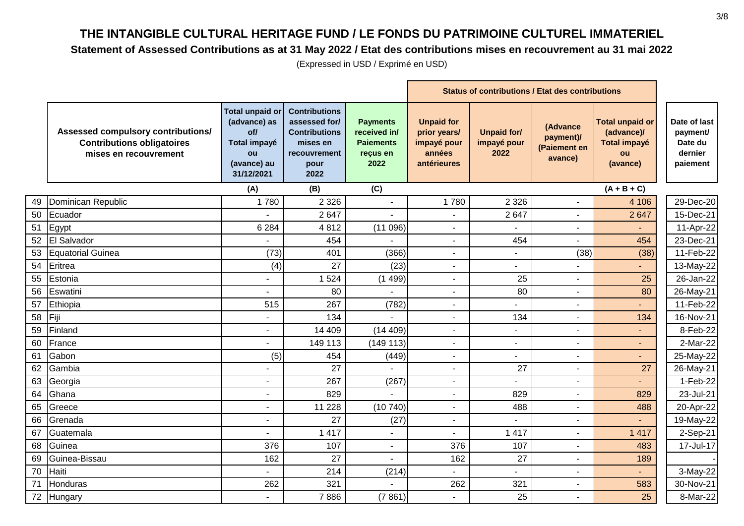#### **Statement of Assessed Contributions as at 31 May 2022 / Etat des contributions mises en recouvrement au 31 mai 2022**

|    |                                                                                                  |                                                                                                  | <b>Status of contributions / Etat des contributions</b>                                                   |                                                                         |                                                                           |                                           |                                                  |                                                                               |                                                            |
|----|--------------------------------------------------------------------------------------------------|--------------------------------------------------------------------------------------------------|-----------------------------------------------------------------------------------------------------------|-------------------------------------------------------------------------|---------------------------------------------------------------------------|-------------------------------------------|--------------------------------------------------|-------------------------------------------------------------------------------|------------------------------------------------------------|
|    | Assessed compulsory contributions/<br><b>Contributions obligatoires</b><br>mises en recouvrement | <b>Total unpaid or</b><br>(advance) as<br>of/<br>Total impayé<br>ou<br>(avance) au<br>31/12/2021 | <b>Contributions</b><br>assessed for/<br><b>Contributions</b><br>mises en<br>recouvrement<br>pour<br>2022 | <b>Payments</b><br>received in/<br><b>Paiements</b><br>reçus en<br>2022 | <b>Unpaid for</b><br>prior years/<br>impayé pour<br>années<br>antérieures | <b>Unpaid for/</b><br>impayé pour<br>2022 | (Advance<br>payment)/<br>(Paiement en<br>avance) | <b>Total unpaid or</b><br>(advance)/<br><b>Total impayé</b><br>ou<br>(avance) | Date of last<br>payment/<br>Date du<br>dernier<br>paiement |
|    |                                                                                                  | (A)                                                                                              | (B)                                                                                                       | (C)                                                                     |                                                                           |                                           |                                                  | $(A + B + C)$                                                                 |                                                            |
| 49 | Dominican Republic                                                                               | 1780                                                                                             | 2 3 2 6                                                                                                   |                                                                         | 1780                                                                      | 2 3 2 6                                   | $\sim$                                           | 4 10 6                                                                        | 29-Dec-20                                                  |
| 50 | Ecuador                                                                                          |                                                                                                  | 2 6 4 7                                                                                                   |                                                                         |                                                                           | 2647                                      | $\blacksquare$                                   | 2 6 4 7                                                                       | 15-Dec-21                                                  |
| 51 | Egypt                                                                                            | 6 2 8 4                                                                                          | 4812                                                                                                      | (11096)                                                                 | $\blacksquare$                                                            |                                           |                                                  |                                                                               | 11-Apr-22                                                  |
|    | 52 El Salvador                                                                                   |                                                                                                  | 454                                                                                                       |                                                                         | $\overline{\phantom{a}}$                                                  | 454                                       |                                                  | 454                                                                           | 23-Dec-21                                                  |
| 53 | Equatorial Guinea                                                                                | (73)                                                                                             | 401                                                                                                       | (366)                                                                   | $\sim$                                                                    | $\sim$                                    | (38)                                             | (38)                                                                          | 11-Feb-22                                                  |
| 54 | Eritrea                                                                                          | (4)                                                                                              | 27                                                                                                        | (23)                                                                    | $\blacksquare$                                                            | $\blacksquare$                            |                                                  | $\blacksquare$                                                                | 13-May-22                                                  |
| 55 | Estonia                                                                                          |                                                                                                  | 1 5 2 4                                                                                                   | (1499)                                                                  | $\sim$                                                                    | 25                                        | $\blacksquare$                                   | 25                                                                            | 26-Jan-22                                                  |
| 56 | Eswatini                                                                                         |                                                                                                  | 80                                                                                                        |                                                                         |                                                                           | 80                                        | ÷                                                | 80                                                                            | 26-May-21                                                  |
| 57 | Ethiopia                                                                                         | 515                                                                                              | 267                                                                                                       | (782)                                                                   | $\blacksquare$                                                            |                                           | $\blacksquare$                                   |                                                                               | 11-Feb-22                                                  |
| 58 | Fiji                                                                                             |                                                                                                  | 134                                                                                                       |                                                                         | $\sim$                                                                    | 134                                       |                                                  | 134                                                                           | 16-Nov-21                                                  |
| 59 | Finland                                                                                          | $\blacksquare$                                                                                   | 14 409                                                                                                    | (14 409)                                                                | Ξ.                                                                        |                                           | $\blacksquare$                                   | ٠                                                                             | 8-Feb-22                                                   |
| 60 | France                                                                                           |                                                                                                  | 149 113                                                                                                   | (149113)                                                                |                                                                           |                                           | ÷,                                               | $\blacksquare$                                                                | 2-Mar-22                                                   |
| 61 | Gabon                                                                                            | (5)                                                                                              | 454                                                                                                       | (449)                                                                   | $\sim$                                                                    | $\blacksquare$                            | $\blacksquare$                                   | $\blacksquare$                                                                | 25-May-22                                                  |
| 62 | Gambia                                                                                           | $\blacksquare$                                                                                   | 27                                                                                                        | $\overline{a}$                                                          | $\sim$                                                                    | 27                                        | $\blacksquare$                                   | 27                                                                            | 26-May-21                                                  |
| 63 | Georgia                                                                                          | $\blacksquare$                                                                                   | 267                                                                                                       | (267)                                                                   | $\blacksquare$                                                            |                                           | $\blacksquare$                                   |                                                                               | 1-Feb-22                                                   |
| 64 | Ghana                                                                                            |                                                                                                  | 829                                                                                                       |                                                                         |                                                                           | 829                                       |                                                  | 829                                                                           | 23-Jul-21                                                  |
| 65 | Greece                                                                                           | ٠                                                                                                | 11 2 28                                                                                                   | (10740)                                                                 | $\sim$                                                                    | 488                                       | ÷,                                               | 488                                                                           | 20-Apr-22                                                  |
| 66 | Grenada                                                                                          | $\blacksquare$                                                                                   | 27                                                                                                        | (27)                                                                    | Ξ.                                                                        |                                           | $\blacksquare$                                   |                                                                               | 19-May-22                                                  |
| 67 | Guatemala                                                                                        |                                                                                                  | 1 4 1 7                                                                                                   |                                                                         |                                                                           | 1 4 1 7                                   |                                                  | 1 4 1 7                                                                       | 2-Sep-21                                                   |
| 68 | Guinea                                                                                           | 376                                                                                              | 107                                                                                                       | $\overline{a}$                                                          | 376                                                                       | 107                                       | $\blacksquare$                                   | 483                                                                           | 17-Jul-17                                                  |
| 69 | Guinea-Bissau                                                                                    | 162                                                                                              | 27                                                                                                        | $\overline{a}$                                                          | 162                                                                       | 27                                        | $\blacksquare$                                   | 189                                                                           |                                                            |
| 70 | Haiti                                                                                            |                                                                                                  | 214                                                                                                       | (214)                                                                   |                                                                           |                                           | $\blacksquare$                                   |                                                                               | 3-May-22                                                   |
| 71 | Honduras                                                                                         | 262                                                                                              | 321                                                                                                       |                                                                         | 262                                                                       | 321                                       | $\blacksquare$                                   | 583                                                                           | 30-Nov-21                                                  |
|    | 72 Hungary                                                                                       |                                                                                                  | 7886                                                                                                      | (7861)                                                                  | $\sim$                                                                    | 25                                        | $\blacksquare$                                   | 25                                                                            | 8-Mar-22                                                   |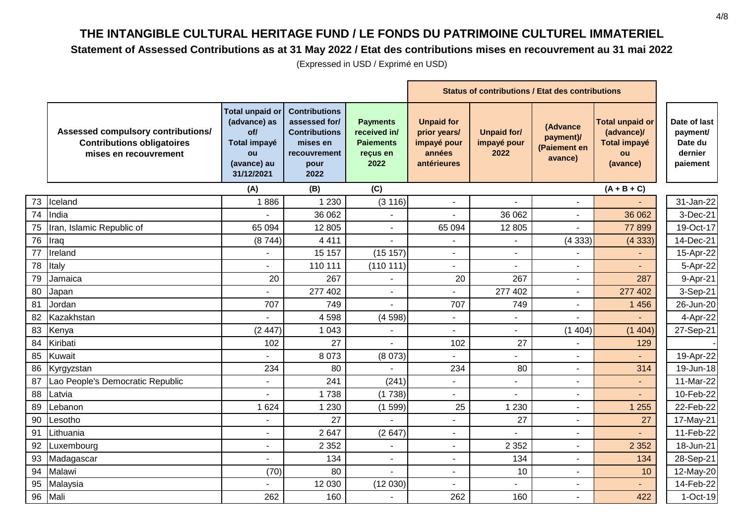#### **Statement of Assessed Contributions as at 31 May 2022 / Etat des contributions mises en recouvrement au 31 mai 2022**

|    |                                                                                                  |                                                                                                  | <b>Status of contributions / Etat des contributions</b>                                                   |                                                                         |                                                                           |                                           |                                                  |                                                                               |                                                            |
|----|--------------------------------------------------------------------------------------------------|--------------------------------------------------------------------------------------------------|-----------------------------------------------------------------------------------------------------------|-------------------------------------------------------------------------|---------------------------------------------------------------------------|-------------------------------------------|--------------------------------------------------|-------------------------------------------------------------------------------|------------------------------------------------------------|
|    | Assessed compulsory contributions/<br><b>Contributions obligatoires</b><br>mises en recouvrement | <b>Total unpaid or</b><br>(advance) as<br>of/<br>Total impayé<br>ou<br>(avance) au<br>31/12/2021 | <b>Contributions</b><br>assessed for/<br><b>Contributions</b><br>mises en<br>recouvrement<br>pour<br>2022 | <b>Payments</b><br>received in/<br><b>Paiements</b><br>reçus en<br>2022 | <b>Unpaid for</b><br>prior years/<br>impayé pour<br>années<br>antérieures | <b>Unpaid for/</b><br>impayé pour<br>2022 | (Advance<br>payment)/<br>(Paiement en<br>avance) | <b>Total unpaid or</b><br>(advance)/<br><b>Total impayé</b><br>ou<br>(avance) | Date of last<br>payment/<br>Date du<br>dernier<br>paiement |
|    |                                                                                                  | (A)                                                                                              | (B)                                                                                                       | (C)                                                                     |                                                                           |                                           |                                                  | $(A + B + C)$                                                                 |                                                            |
| 73 | Iceland                                                                                          | 1886                                                                                             | 1 2 3 0                                                                                                   | (3 116)                                                                 |                                                                           |                                           |                                                  |                                                                               | 31-Jan-22                                                  |
| 74 | India                                                                                            |                                                                                                  | 36 062                                                                                                    | ÷,                                                                      |                                                                           | 36 062                                    | $\blacksquare$                                   | 36 062                                                                        | 3-Dec-21                                                   |
|    | 75  Iran, Islamic Republic of                                                                    | 65 094                                                                                           | 12 805                                                                                                    | $\blacksquare$                                                          | 65 094                                                                    | 12 805                                    |                                                  | 77899                                                                         | 19-Oct-17                                                  |
| 76 | Iraq                                                                                             | (8744)                                                                                           | 4 4 1 1                                                                                                   |                                                                         | ٠                                                                         |                                           | (4333)                                           | (4333)                                                                        | 14-Dec-21                                                  |
| 77 | Ireland                                                                                          |                                                                                                  | 15 157                                                                                                    | (15 157)                                                                | ٠                                                                         | $\overline{\phantom{a}}$                  |                                                  |                                                                               | 15-Apr-22                                                  |
| 78 | Italy                                                                                            | ÷.                                                                                               | 110 111                                                                                                   | (110111)                                                                | ÷,                                                                        | $\sim$                                    |                                                  | ÷.                                                                            | 5-Apr-22                                                   |
| 79 | Jamaica                                                                                          | 20                                                                                               | 267                                                                                                       |                                                                         | 20                                                                        | 267                                       |                                                  | 287                                                                           | 9-Apr-21                                                   |
| 80 | Japan                                                                                            |                                                                                                  | 277 402                                                                                                   | L.                                                                      |                                                                           | 277 402                                   |                                                  | 277 402                                                                       | 3-Sep-21                                                   |
| 81 | Jordan                                                                                           | 707                                                                                              | 749                                                                                                       |                                                                         | 707                                                                       | 749                                       |                                                  | 1 4 5 6                                                                       | 26-Jun-20                                                  |
| 82 | Kazakhstan                                                                                       |                                                                                                  | 4598                                                                                                      | (4598)                                                                  | ä,                                                                        |                                           |                                                  |                                                                               | 4-Apr-22                                                   |
|    | 83 Kenya                                                                                         | (2447)                                                                                           | 1 0 4 3                                                                                                   | $\sim$                                                                  | $\overline{a}$                                                            | $\sim$                                    | (1404)                                           | (1404)                                                                        | 27-Sep-21                                                  |
| 84 | Kiribati                                                                                         | 102                                                                                              | 27                                                                                                        |                                                                         | 102                                                                       | 27                                        |                                                  | 129                                                                           |                                                            |
| 85 | <b>Kuwait</b>                                                                                    | ÷.                                                                                               | 8 0 7 3                                                                                                   | (8073)                                                                  | ÷.                                                                        |                                           |                                                  |                                                                               | 19-Apr-22                                                  |
|    | 86 Kyrgyzstan                                                                                    | 234                                                                                              | 80                                                                                                        |                                                                         | 234                                                                       | 80                                        |                                                  | 314                                                                           | 19-Jun-18                                                  |
| 87 | Lao People's Democratic Republic                                                                 |                                                                                                  | 241                                                                                                       | (241)                                                                   | ÷,                                                                        |                                           |                                                  | $\overline{\phantom{a}}$                                                      | 11-Mar-22                                                  |
| 88 | Latvia                                                                                           |                                                                                                  | 1738                                                                                                      | (1738)                                                                  |                                                                           |                                           |                                                  |                                                                               | 10-Feb-22                                                  |
| 89 | Lebanon                                                                                          | 1 6 2 4                                                                                          | 1 2 3 0                                                                                                   | (1599)                                                                  | 25                                                                        | 1 2 3 0                                   |                                                  | 1 2 5 5                                                                       | 22-Feb-22                                                  |
| 90 | Lesotho                                                                                          | $\blacksquare$                                                                                   | 27                                                                                                        |                                                                         | $\blacksquare$                                                            | 27                                        |                                                  | 27                                                                            | 17-May-21                                                  |
| 91 | Lithuania                                                                                        | ÷,                                                                                               | 2647                                                                                                      | (2647)                                                                  | $\overline{\phantom{0}}$                                                  |                                           |                                                  |                                                                               | 11-Feb-22                                                  |
| 92 | Luxembourg                                                                                       | $\blacksquare$                                                                                   | 2 3 5 2                                                                                                   | $\blacksquare$                                                          | $\blacksquare$                                                            | 2 3 5 2                                   | $\blacksquare$                                   | 2 3 5 2                                                                       | 18-Jun-21                                                  |
| 93 | Madagascar                                                                                       |                                                                                                  | 134                                                                                                       | $\overline{a}$                                                          | $\overline{a}$                                                            | 134                                       |                                                  | 134                                                                           | 28-Sep-21                                                  |
|    | 94 Malawi                                                                                        | (70)                                                                                             | 80                                                                                                        |                                                                         | $\blacksquare$                                                            | 10                                        |                                                  | 10                                                                            | 12-May-20                                                  |
| 95 | Malaysia                                                                                         |                                                                                                  | 12 030                                                                                                    | (12030)                                                                 |                                                                           |                                           |                                                  |                                                                               | 14-Feb-22                                                  |
|    | 96 Mali                                                                                          | 262                                                                                              | 160                                                                                                       |                                                                         | 262                                                                       | 160                                       |                                                  | 422                                                                           | 1-Oct-19                                                   |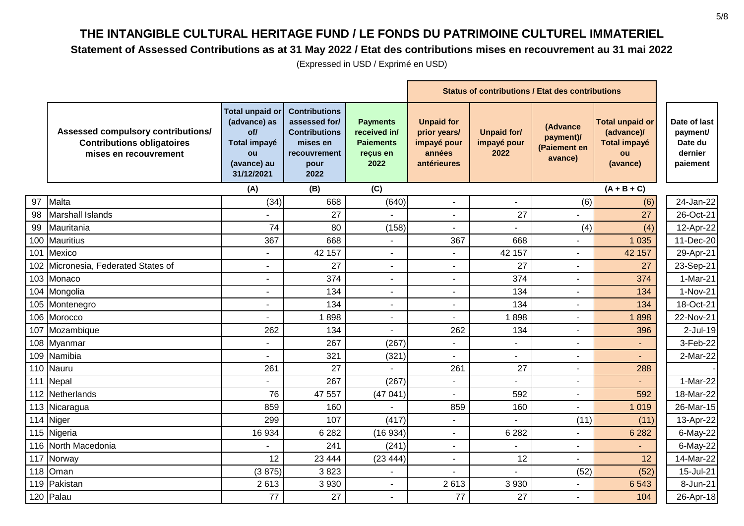#### **Statement of Assessed Contributions as at 31 May 2022 / Etat des contributions mises en recouvrement au 31 mai 2022**

|    |                                                                                                  |                                                                                                         | <b>Status of contributions / Etat des contributions</b>                                                   |                                                                         |                                                                           |                                           |                                                  |                                                                               |                                                            |
|----|--------------------------------------------------------------------------------------------------|---------------------------------------------------------------------------------------------------------|-----------------------------------------------------------------------------------------------------------|-------------------------------------------------------------------------|---------------------------------------------------------------------------|-------------------------------------------|--------------------------------------------------|-------------------------------------------------------------------------------|------------------------------------------------------------|
|    | Assessed compulsory contributions/<br><b>Contributions obligatoires</b><br>mises en recouvrement | <b>Total unpaid or</b><br>(advance) as<br>of/<br><b>Total impayé</b><br>ou<br>(avance) au<br>31/12/2021 | <b>Contributions</b><br>assessed for/<br><b>Contributions</b><br>mises en<br>recouvrement<br>pour<br>2022 | <b>Payments</b><br>received in/<br><b>Paiements</b><br>reçus en<br>2022 | <b>Unpaid for</b><br>prior years/<br>impayé pour<br>années<br>antérieures | <b>Unpaid for/</b><br>impayé pour<br>2022 | (Advance<br>payment)/<br>(Paiement en<br>avance) | <b>Total unpaid or</b><br>(advance)/<br><b>Total impayé</b><br>ou<br>(avance) | Date of last<br>payment/<br>Date du<br>dernier<br>paiement |
|    |                                                                                                  | (A)                                                                                                     | (B)                                                                                                       | (C)                                                                     |                                                                           |                                           |                                                  | $(A + B + C)$                                                                 |                                                            |
| 97 | Malta                                                                                            | (34)                                                                                                    | 668                                                                                                       | (640)                                                                   |                                                                           |                                           | (6)                                              | (6)                                                                           | 24-Jan-22                                                  |
| 98 | <b>Marshall Islands</b>                                                                          |                                                                                                         | 27                                                                                                        |                                                                         | $\sim$                                                                    | 27                                        |                                                  | 27                                                                            | 26-Oct-21                                                  |
| 99 | Mauritania                                                                                       | 74                                                                                                      | 80                                                                                                        | (158)                                                                   | $\sim$                                                                    |                                           | (4)                                              | (4)                                                                           | 12-Apr-22                                                  |
|    | 100 Mauritius                                                                                    | 367                                                                                                     | 668                                                                                                       | $\sim$                                                                  | 367                                                                       | 668                                       |                                                  | 1 0 3 5                                                                       | 11-Dec-20                                                  |
|    | 101 Mexico                                                                                       |                                                                                                         | 42 157                                                                                                    |                                                                         |                                                                           | 42 157                                    | $\overline{a}$                                   | 42 157                                                                        | 29-Apr-21                                                  |
|    | 102 Micronesia, Federated States of                                                              | ۰                                                                                                       | 27                                                                                                        |                                                                         | $\blacksquare$                                                            | 27                                        | $\blacksquare$                                   | 27                                                                            | 23-Sep-21                                                  |
|    | 103 Monaco                                                                                       |                                                                                                         | 374                                                                                                       |                                                                         |                                                                           | 374                                       | $\overline{\phantom{a}}$                         | 374                                                                           | 1-Mar-21                                                   |
|    | 104 Mongolia                                                                                     | $\overline{a}$                                                                                          | 134                                                                                                       | $\sim$                                                                  |                                                                           | 134                                       |                                                  | 134                                                                           | 1-Nov-21                                                   |
|    | 105 Montenegro                                                                                   | ۰                                                                                                       | 134                                                                                                       |                                                                         | $\sim$                                                                    | 134                                       | $\blacksquare$                                   | 134                                                                           | 18-Oct-21                                                  |
|    | 106 Morocco                                                                                      |                                                                                                         | 1898                                                                                                      |                                                                         | $\blacksquare$                                                            | 1898                                      |                                                  | 1898                                                                          | 22-Nov-21                                                  |
|    | 107 Mozambique                                                                                   | 262                                                                                                     | 134                                                                                                       |                                                                         | 262                                                                       | 134                                       | $\blacksquare$                                   | 396                                                                           | $2$ -Jul-19                                                |
|    | 108 Myanmar                                                                                      | ۰                                                                                                       | 267                                                                                                       | (267)                                                                   | $\blacksquare$                                                            |                                           | $\blacksquare$                                   | $\sim$                                                                        | 3-Feb-22                                                   |
|    | 109 Namibia                                                                                      | $\blacksquare$                                                                                          | 321                                                                                                       | (321)                                                                   | $\blacksquare$                                                            | $\blacksquare$                            | $\blacksquare$                                   | $\blacksquare$                                                                | 2-Mar-22                                                   |
|    | 110 Nauru                                                                                        | 261                                                                                                     | 27                                                                                                        | $\overline{a}$                                                          | 261                                                                       | 27                                        | $\sim$                                           | 288                                                                           |                                                            |
|    | 111 Nepal                                                                                        |                                                                                                         | 267                                                                                                       | (267)                                                                   | $\mathbf{r}$                                                              |                                           | $\blacksquare$                                   |                                                                               | 1-Mar-22                                                   |
|    | 112 Netherlands                                                                                  | 76                                                                                                      | 47 557                                                                                                    | (47041)                                                                 |                                                                           | 592                                       | $\overline{\phantom{a}}$                         | 592                                                                           | 18-Mar-22                                                  |
|    | 113 Nicaragua                                                                                    | 859                                                                                                     | 160                                                                                                       |                                                                         | 859                                                                       | 160                                       |                                                  | 1 0 1 9                                                                       | 26-Mar-15                                                  |
|    | 114 Niger                                                                                        | 299                                                                                                     | 107                                                                                                       | (417)                                                                   | $\blacksquare$                                                            |                                           | (11)                                             | (11)                                                                          | 13-Apr-22                                                  |
|    | 115 Nigeria                                                                                      | 16 934                                                                                                  | 6 2 8 2                                                                                                   | (16934)                                                                 | $\blacksquare$                                                            | 6 2 8 2                                   |                                                  | 6 2 8 2                                                                       | 6-May-22                                                   |
|    | 116 North Macedonia                                                                              |                                                                                                         | 241                                                                                                       | (241)                                                                   | $\blacksquare$                                                            |                                           | $\blacksquare$                                   |                                                                               | 6-May-22                                                   |
|    | 117 Norway                                                                                       | 12                                                                                                      | 23 4 44                                                                                                   | (23444)                                                                 | $\mathbf{r}$                                                              | 12                                        |                                                  | 12                                                                            | 14-Mar-22                                                  |
|    | 118 Oman                                                                                         | (3875)                                                                                                  | 3823                                                                                                      | $\sim$                                                                  |                                                                           |                                           | (52)                                             | (52)                                                                          | 15-Jul-21                                                  |
|    | 119 Pakistan                                                                                     | 2613                                                                                                    | 3 9 3 0                                                                                                   | $\sim$                                                                  | 2613                                                                      | 3 9 3 0                                   |                                                  | 6 5 4 3                                                                       | 8-Jun-21                                                   |
|    | 120 Palau                                                                                        | 77                                                                                                      | 27                                                                                                        | $\mathbf{r}$                                                            | 77                                                                        | 27                                        | $\blacksquare$                                   | 104                                                                           | 26-Apr-18                                                  |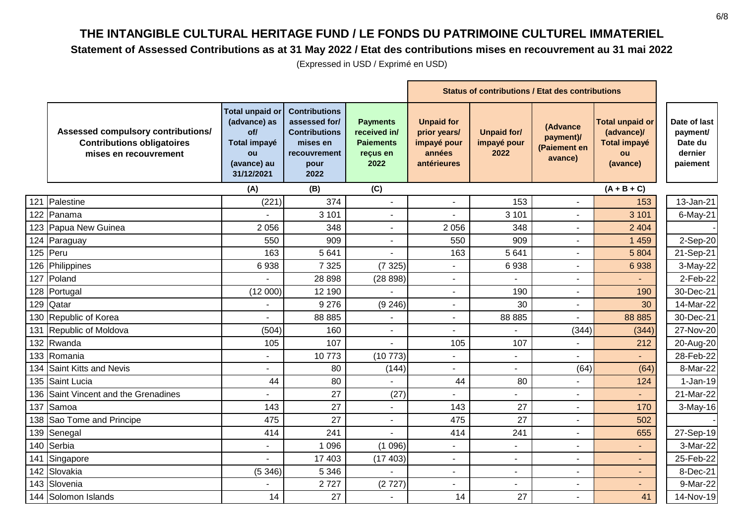#### **Statement of Assessed Contributions as at 31 May 2022 / Etat des contributions mises en recouvrement au 31 mai 2022**

|     |                                                                                                  |                                                                                                  | <b>Status of contributions / Etat des contributions</b>                                                   |                                                                         |                                                                           |                                           |                                                  |                                                                               |                                                            |
|-----|--------------------------------------------------------------------------------------------------|--------------------------------------------------------------------------------------------------|-----------------------------------------------------------------------------------------------------------|-------------------------------------------------------------------------|---------------------------------------------------------------------------|-------------------------------------------|--------------------------------------------------|-------------------------------------------------------------------------------|------------------------------------------------------------|
|     | Assessed compulsory contributions/<br><b>Contributions obligatoires</b><br>mises en recouvrement | <b>Total unpaid or</b><br>(advance) as<br>of/<br>Total impayé<br>ou<br>(avance) au<br>31/12/2021 | <b>Contributions</b><br>assessed for/<br><b>Contributions</b><br>mises en<br>recouvrement<br>pour<br>2022 | <b>Payments</b><br>received in/<br><b>Paiements</b><br>reçus en<br>2022 | <b>Unpaid for</b><br>prior years/<br>impayé pour<br>années<br>antérieures | <b>Unpaid for/</b><br>impayé pour<br>2022 | (Advance<br>payment)/<br>(Paiement en<br>avance) | <b>Total unpaid or</b><br>(advance)/<br><b>Total impayé</b><br>ou<br>(avance) | Date of last<br>payment/<br>Date du<br>dernier<br>paiement |
|     |                                                                                                  | (A)                                                                                              | (B)                                                                                                       | (C)                                                                     |                                                                           |                                           |                                                  | $(A + B + C)$                                                                 |                                                            |
| 121 | Palestine                                                                                        | (221)                                                                                            | 374                                                                                                       |                                                                         | $\overline{a}$                                                            | 153                                       |                                                  | 153                                                                           | 13-Jan-21                                                  |
|     | 122 Panama                                                                                       |                                                                                                  | 3 1 0 1                                                                                                   | $\blacksquare$                                                          | ä,                                                                        | 3 1 0 1                                   | $\overline{\phantom{a}}$                         | 3 1 0 1                                                                       | $6$ -May-21                                                |
|     | 123 Papua New Guinea                                                                             | 2056                                                                                             | 348                                                                                                       |                                                                         | 2 0 5 6                                                                   | 348                                       |                                                  | 2 4 0 4                                                                       |                                                            |
|     | 124 Paraguay                                                                                     | 550                                                                                              | 909                                                                                                       | L.                                                                      | 550                                                                       | 909                                       |                                                  | 1 4 5 9                                                                       | 2-Sep-20                                                   |
|     | $125$ Peru                                                                                       | 163                                                                                              | 5 6 4 1                                                                                                   |                                                                         | 163                                                                       | 5 6 4 1                                   |                                                  | 5 8 0 4                                                                       | 21-Sep-21                                                  |
|     | 126 Philippines                                                                                  | 6938                                                                                             | 7 3 2 5                                                                                                   | (7325)                                                                  | ÷.                                                                        | 6938                                      |                                                  | 6938                                                                          | 3-May-22                                                   |
|     | 127 Poland                                                                                       |                                                                                                  | 28 8 98                                                                                                   | (28898)                                                                 | ä,                                                                        |                                           |                                                  |                                                                               | 2-Feb-22                                                   |
|     | 128 Portugal                                                                                     | (12000)                                                                                          | 12 190                                                                                                    |                                                                         | ä,                                                                        | 190                                       |                                                  | 190                                                                           | 30-Dec-21                                                  |
|     | 129 Qatar                                                                                        |                                                                                                  | 9 2 7 6                                                                                                   | (9246)                                                                  | $\blacksquare$                                                            | 30                                        | $\blacksquare$                                   | 30                                                                            | 14-Mar-22                                                  |
|     | 130 Republic of Korea                                                                            | ÷.                                                                                               | 88 885                                                                                                    |                                                                         | $\blacksquare$                                                            | 88 885                                    |                                                  | 88 885                                                                        | 30-Dec-21                                                  |
|     | 131 Republic of Moldova                                                                          | (504)                                                                                            | 160                                                                                                       | $\blacksquare$                                                          | ÷,                                                                        |                                           | (344)                                            | (344)                                                                         | 27-Nov-20                                                  |
|     | 132 Rwanda                                                                                       | 105                                                                                              | 107                                                                                                       |                                                                         | 105                                                                       | 107                                       |                                                  | 212                                                                           | 20-Aug-20                                                  |
|     | 133 Romania                                                                                      | ۰                                                                                                | 10773                                                                                                     | (10773)                                                                 | $\overline{\phantom{0}}$                                                  | $\blacksquare$                            |                                                  | $\sim$                                                                        | 28-Feb-22                                                  |
|     | 134 Saint Kitts and Nevis                                                                        |                                                                                                  | 80                                                                                                        | (144)                                                                   |                                                                           |                                           | (64)                                             | (64)                                                                          | 8-Mar-22                                                   |
|     | 135 Saint Lucia                                                                                  | 44                                                                                               | 80                                                                                                        |                                                                         | 44                                                                        | 80                                        |                                                  | 124                                                                           | $1-Jan-19$                                                 |
|     | 136 Saint Vincent and the Grenadines                                                             |                                                                                                  | 27                                                                                                        | (27)                                                                    |                                                                           |                                           |                                                  |                                                                               | 21-Mar-22                                                  |
|     | 137 Samoa                                                                                        | 143                                                                                              | 27                                                                                                        |                                                                         | 143                                                                       | 27                                        |                                                  | 170                                                                           | 3-May-16                                                   |
|     | 138 Sao Tome and Principe                                                                        | 475                                                                                              | 27                                                                                                        | $\sim$                                                                  | 475                                                                       | 27                                        |                                                  | 502                                                                           |                                                            |
|     | 139 Senegal                                                                                      | 414                                                                                              | 241                                                                                                       |                                                                         | 414                                                                       | 241                                       | $\sim$                                           | 655                                                                           | 27-Sep-19                                                  |
|     | 140 Serbia                                                                                       | $\overline{\phantom{0}}$                                                                         | 1 0 9 6                                                                                                   | (1096)                                                                  | $\blacksquare$                                                            | $\sim$                                    | $\overline{\phantom{a}}$                         | $\sim$                                                                        | 3-Mar-22                                                   |
|     | 141 Singapore                                                                                    |                                                                                                  | 17 403                                                                                                    | (17403)                                                                 | ä,                                                                        | $\sim$                                    |                                                  |                                                                               | 25-Feb-22                                                  |
|     | 142 Slovakia                                                                                     | (5346)                                                                                           | 5 3 4 6                                                                                                   |                                                                         | ÷,                                                                        |                                           |                                                  |                                                                               | 8-Dec-21                                                   |
|     | 143 Slovenia                                                                                     |                                                                                                  | 2727                                                                                                      | (2727)                                                                  | $\overline{\phantom{0}}$                                                  |                                           |                                                  |                                                                               | 9-Mar-22                                                   |
|     | 144 Solomon Islands                                                                              | 14                                                                                               | 27                                                                                                        |                                                                         | 14                                                                        | 27                                        |                                                  | 41                                                                            | 14-Nov-19                                                  |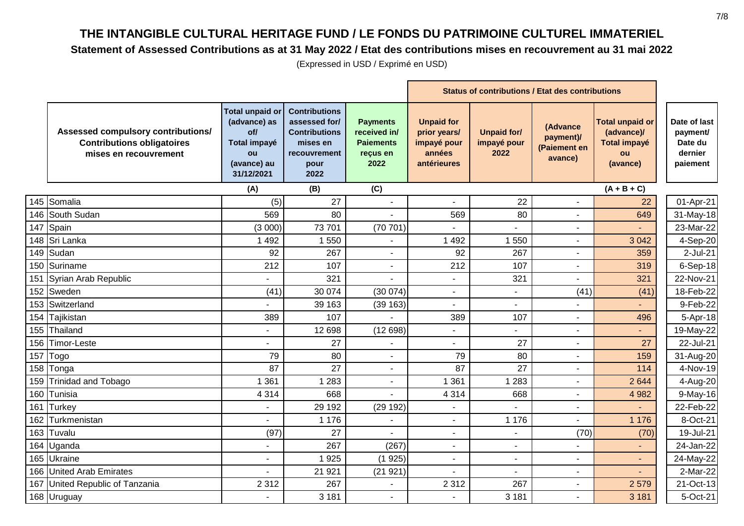#### **Statement of Assessed Contributions as at 31 May 2022 / Etat des contributions mises en recouvrement au 31 mai 2022**

|                                                                                                  |                                                                                                  | <b>Status of contributions / Etat des contributions</b>                                                   |                                                                         |                                                                           |                                           |                                                  |                                                                               |                                                            |
|--------------------------------------------------------------------------------------------------|--------------------------------------------------------------------------------------------------|-----------------------------------------------------------------------------------------------------------|-------------------------------------------------------------------------|---------------------------------------------------------------------------|-------------------------------------------|--------------------------------------------------|-------------------------------------------------------------------------------|------------------------------------------------------------|
| Assessed compulsory contributions/<br><b>Contributions obligatoires</b><br>mises en recouvrement | <b>Total unpaid or</b><br>(advance) as<br>of/<br>Total impayé<br>ou<br>(avance) au<br>31/12/2021 | <b>Contributions</b><br>assessed for/<br><b>Contributions</b><br>mises en<br>recouvrement<br>pour<br>2022 | <b>Payments</b><br>received in/<br><b>Paiements</b><br>reçus en<br>2022 | <b>Unpaid for</b><br>prior years/<br>impayé pour<br>années<br>antérieures | <b>Unpaid for/</b><br>impayé pour<br>2022 | (Advance<br>payment)/<br>(Paiement en<br>avance) | <b>Total unpaid or</b><br>(advance)/<br><b>Total impayé</b><br>ou<br>(avance) | Date of last<br>payment/<br>Date du<br>dernier<br>paiement |
|                                                                                                  | (A)                                                                                              | (B)                                                                                                       | (C)                                                                     |                                                                           |                                           |                                                  | $(A + B + C)$                                                                 |                                                            |
| 145 Somalia                                                                                      | (5)                                                                                              | 27                                                                                                        |                                                                         |                                                                           | 22                                        |                                                  | 22                                                                            | 01-Apr-21                                                  |
| 146 South Sudan                                                                                  | 569                                                                                              | 80                                                                                                        |                                                                         | 569                                                                       | 80                                        |                                                  | 649                                                                           | 31-May-18                                                  |
| 147 Spain                                                                                        | (3000)                                                                                           | 73 701                                                                                                    | (70701)                                                                 |                                                                           |                                           |                                                  |                                                                               | 23-Mar-22                                                  |
| 148 Sri Lanka                                                                                    | 1 4 9 2                                                                                          | 1 550                                                                                                     |                                                                         | 1 4 9 2                                                                   | 1 550                                     |                                                  | 3 0 4 2                                                                       | 4-Sep-20                                                   |
| 149 Sudan                                                                                        | 92                                                                                               | 267                                                                                                       |                                                                         | 92                                                                        | 267                                       |                                                  | 359                                                                           | 2-Jul-21                                                   |
| 150 Suriname                                                                                     | 212                                                                                              | 107                                                                                                       | ä,                                                                      | 212                                                                       | 107                                       |                                                  | 319                                                                           | 6-Sep-18                                                   |
| 151 Syrian Arab Republic                                                                         |                                                                                                  | 321                                                                                                       |                                                                         | $\sim$                                                                    | 321                                       |                                                  | 321                                                                           | 22-Nov-21                                                  |
| 152 Sweden                                                                                       | (41)                                                                                             | 30 074                                                                                                    | (30074)                                                                 | ٠                                                                         |                                           | (41)                                             | (41)                                                                          | 18-Feb-22                                                  |
| 153 Switzerland                                                                                  |                                                                                                  | 39 163                                                                                                    | (39 163)                                                                | $\blacksquare$                                                            |                                           |                                                  |                                                                               | 9-Feb-22                                                   |
| 154 Tajikistan                                                                                   | 389                                                                                              | 107                                                                                                       |                                                                         | 389                                                                       | 107                                       |                                                  | 496                                                                           | 5-Apr-18                                                   |
| 155 Thailand                                                                                     | ÷.                                                                                               | 12 698                                                                                                    | (12698)                                                                 | $\sim$                                                                    |                                           |                                                  |                                                                               | 19-May-22                                                  |
| 156 Timor-Leste                                                                                  | $\overline{\phantom{0}}$                                                                         | 27                                                                                                        |                                                                         | ÷,                                                                        | 27                                        |                                                  | 27                                                                            | 22-Jul-21                                                  |
| 157 Togo                                                                                         | 79                                                                                               | 80                                                                                                        | ÷,                                                                      | 79                                                                        | 80                                        |                                                  | 159                                                                           | 31-Aug-20                                                  |
| 158 Tonga                                                                                        | 87                                                                                               | 27                                                                                                        | $\blacksquare$                                                          | 87                                                                        | 27                                        |                                                  | 114                                                                           | 4-Nov-19                                                   |
| 159 Trinidad and Tobago                                                                          | 1 3 6 1                                                                                          | 1 2 8 3                                                                                                   | L.                                                                      | 1 3 6 1                                                                   | 1 2 8 3                                   |                                                  | 2 6 4 4                                                                       | 4-Aug-20                                                   |
| 160 Tunisia                                                                                      | 4 3 1 4                                                                                          | 668                                                                                                       |                                                                         | 4 3 1 4                                                                   | 668                                       |                                                  | 4 9 8 2                                                                       | 9-May-16                                                   |
| 161 Turkey                                                                                       |                                                                                                  | 29 192                                                                                                    | (29192)                                                                 |                                                                           |                                           |                                                  |                                                                               | 22-Feb-22                                                  |
| 162 Turkmenistan                                                                                 |                                                                                                  | 1 1 7 6                                                                                                   | $\sim$                                                                  | $\blacksquare$                                                            | 1 1 7 6                                   |                                                  | 1 1 7 6                                                                       | 8-Oct-21                                                   |
| 163 Tuvalu                                                                                       | (97)                                                                                             | 27                                                                                                        |                                                                         | $\blacksquare$                                                            |                                           | (70)                                             | (70)                                                                          | 19-Jul-21                                                  |
| 164 Uganda                                                                                       | $\overline{\phantom{0}}$                                                                         | 267                                                                                                       | (267)                                                                   | $\overline{\phantom{a}}$                                                  | $\sim$                                    |                                                  | $\sim$                                                                        | 24-Jan-22                                                  |
| 165 Ukraine                                                                                      | ÷.                                                                                               | 1 9 2 5                                                                                                   | (1925)                                                                  | $\blacksquare$                                                            | $\blacksquare$                            |                                                  |                                                                               | 24-May-22                                                  |
| 166 United Arab Emirates                                                                         |                                                                                                  | 21 921                                                                                                    | (21921)                                                                 |                                                                           |                                           |                                                  |                                                                               | 2-Mar-22                                                   |
| 167 United Republic of Tanzania                                                                  | 2 3 1 2                                                                                          | 267                                                                                                       |                                                                         | 2 3 1 2                                                                   | 267                                       |                                                  | 2 5 7 9                                                                       | 21-Oct-13                                                  |
| 168 Uruguay                                                                                      |                                                                                                  | 3 1 8 1                                                                                                   | $\blacksquare$                                                          |                                                                           | 3 1 8 1                                   |                                                  | 3 1 8 1                                                                       | 5-Oct-21                                                   |